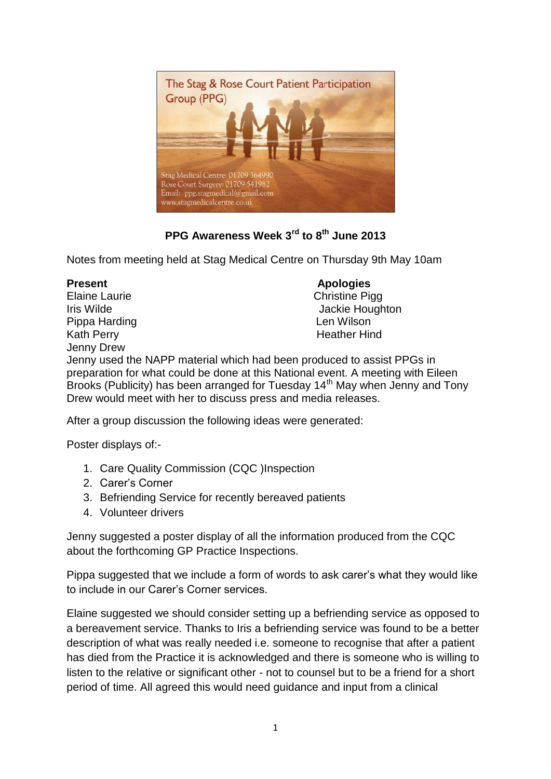

## **PPG Awareness Week 3rd to 8th June 2013**

Notes from meeting held at Stag Medical Centre on Thursday 9th May 10am

Elaine Laurie **Christine Pigg** Pippa Harding **Len Wilson** Kath Perry **Heather Hind** Jenny Drew

## **Present Apologies**

Iris Wilde **Jackie Houghton** 

Jenny used the NAPP material which had been produced to assist PPGs in preparation for what could be done at this National event. A meeting with Eileen Brooks (Publicity) has been arranged for Tuesday 14<sup>th</sup> May when Jenny and Tony Drew would meet with her to discuss press and media releases.

After a group discussion the following ideas were generated:

Poster displays of:-

- 1. Care Quality Commission (CQC )Inspection
- 2. Carer's Corner
- 3. Befriending Service for recently bereaved patients
- 4. Volunteer drivers

Jenny suggested a poster display of all the information produced from the CQC about the forthcoming GP Practice Inspections.

Pippa suggested that we include a form of words to ask carer's what they would like to include in our Carer's Corner services.

Elaine suggested we should consider setting up a befriending service as opposed to a bereavement service. Thanks to Iris a befriending service was found to be a better description of what was really needed i.e. someone to recognise that after a patient has died from the Practice it is acknowledged and there is someone who is willing to listen to the relative or significant other - not to counsel but to be a friend for a short period of time. All agreed this would need guidance and input from a clinical